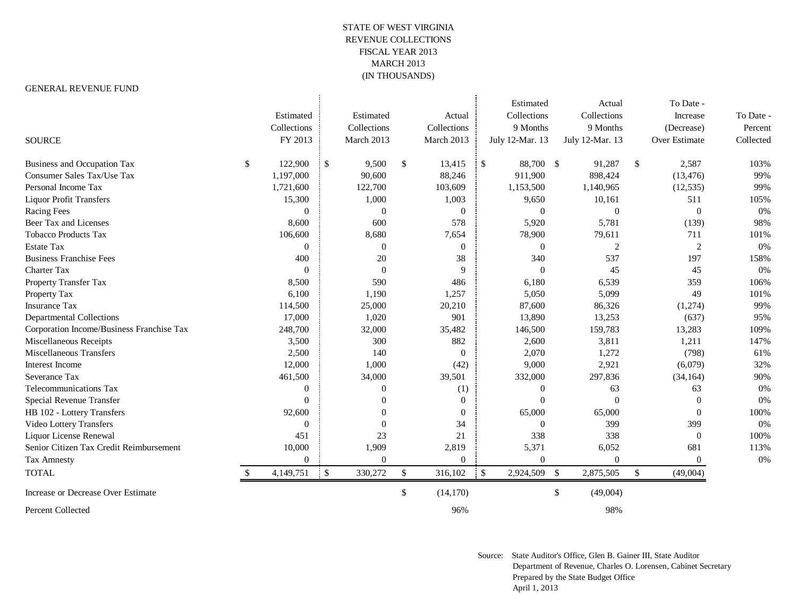## STATE OF WEST VIRGINIA REVENUE COLLECTIONS FISCAL YEAR 2013 MARCH 2013 (IN THOUSANDS)

## GENERAL REVENUE FUND

|                                           |                  |              |                |                 |              | Estimated       |               | Actual          |               | To Date -      |           |
|-------------------------------------------|------------------|--------------|----------------|-----------------|--------------|-----------------|---------------|-----------------|---------------|----------------|-----------|
|                                           | Estimated        |              | Estimated      | Actual          |              | Collections     |               | Collections     |               | Increase       | To Date - |
|                                           | Collections      |              | Collections    | Collections     |              | 9 Months        |               | 9 Months        |               | (Decrease)     | Percent   |
| <b>SOURCE</b>                             | FY 2013          |              | March 2013     | March 2013      |              | July 12-Mar. 13 |               | July 12-Mar. 13 |               | Over Estimate  | Collected |
| <b>Business and Occupation Tax</b>        | \$<br>122,900    | $\cdot$ \$   | 9,500          | \$<br>13,415    | $\mathsf{S}$ | 88,700 \$       |               | 91,287          | $\mathcal{S}$ | 2,587          | 103%      |
| Consumer Sales Tax/Use Tax                | 1,197,000        |              | 90,600         | 88,246          |              | 911,900         |               | 898,424         |               | (13, 476)      | 99%       |
| Personal Income Tax                       | 1,721,600        |              | 122,700        | 103,609         |              | 1,153,500       |               | 1,140,965       |               | (12, 535)      | 99%       |
| <b>Liquor Profit Transfers</b>            | 15,300           |              | 1,000          | 1,003           |              | 9,650           |               | 10,161          |               | 511            | 105%      |
| <b>Racing Fees</b>                        | $\boldsymbol{0}$ |              | $\overline{0}$ | $\Omega$        |              | $\Omega$        |               | $\theta$        |               | $\overline{0}$ | 0%        |
| Beer Tax and Licenses                     | 8,600            |              | 600            | 578             |              | 5,920           |               | 5,781           |               | (139)          | 98%       |
| <b>Tobacco Products Tax</b>               | 106,600          |              | 8,680          | 7,654           |              | 78,900          |               | 79,611          |               | 711            | 101%      |
| <b>Estate Tax</b>                         | $\Omega$         |              | $\theta$       | $\Omega$        |              | $\Omega$        |               | 2               |               | $\overline{2}$ | 0%        |
| <b>Business Franchise Fees</b>            | 400              |              | 20             | 38              |              | 340             |               | 537             |               | 197            | 158%      |
| Charter Tax                               | $\Omega$         |              | $\Omega$       | $\mathbf Q$     |              | $\Omega$        |               | 45              |               | 45             | 0%        |
| Property Transfer Tax                     | 8,500            |              | 590            | 486             |              | 6,180           |               | 6,539           |               | 359            | 106%      |
| Property Tax                              | 6,100            |              | 1,190          | 1,257           |              | 5,050           |               | 5,099           |               | 49             | 101%      |
| <b>Insurance Tax</b>                      | 114,500          |              | 25,000         | 20,210          |              | 87,600          |               | 86,326          |               | (1,274)        | 99%       |
| <b>Departmental Collections</b>           | 17,000           |              | 1,020          | 901             |              | 13,890          |               | 13,253          |               | (637)          | 95%       |
| Corporation Income/Business Franchise Tax | 248,700          |              | 32,000         | 35,482          |              | 146,500         |               | 159,783         |               | 13,283         | 109%      |
| Miscellaneous Receipts                    | 3,500            |              | 300            | 882             |              | 2,600           |               | 3,811           |               | 1,211          | 147%      |
| <b>Miscellaneous Transfers</b>            | 2,500            |              | 140            | $\Omega$        |              | 2,070           |               | 1,272           |               | (798)          | 61%       |
| Interest Income                           | 12,000           |              | 1,000          | (42)            |              | 9,000           |               | 2,921           |               | (6,079)        | 32%       |
| Severance Tax                             | 461,500          |              | 34,000         | 39,501          |              | 332,000         |               | 297,836         |               | (34, 164)      | 90%       |
| Telecommunications Tax                    | $\mathbf{0}$     |              | $\overline{0}$ | (1)             |              | $\overline{0}$  |               | 63              |               | 63             | 0%        |
| Special Revenue Transfer                  | $\theta$         |              | 0              | $\Omega$        |              | $\Omega$        |               | $\Omega$        |               | $\Omega$       | 0%        |
| HB 102 - Lottery Transfers                | 92,600           |              | $\Omega$       | $\Omega$        |              | 65,000          |               | 65,000          |               | $\Omega$       | 100%      |
| Video Lottery Transfers                   | $\Omega$         |              | $\Omega$       | 34              |              | $\Omega$        |               | 399             |               | 399            | 0%        |
| Liquor License Renewal                    | 451              |              | 23             | 21              |              | 338             |               | 338             |               | $\Omega$       | 100%      |
| Senior Citizen Tax Credit Reimbursement   | 10,000           |              | 1,909          | 2,819           |              | 5,371           |               | 6,052           |               | 681            | 113%      |
| <b>Tax Amnesty</b>                        | $\overline{0}$   |              | $\Omega$       | $\Omega$        |              | $\Omega$        |               | $\overline{0}$  |               | $\Omega$       | 0%        |
| <b>TOTAL</b>                              | 4,149,751        | $\mathbf{S}$ | 330,272        | \$<br>316,102   | $\cdot$ \$   | 2,924,509       | $\mathcal{S}$ | 2,875,505       | \$            | (49,004)       |           |
| Increase or Decrease Over Estimate        |                  |              |                | \$<br>(14, 170) |              |                 | \$            | (49,004)        |               |                |           |
| Percent Collected                         |                  |              |                | 96%             |              |                 |               | 98%             |               |                |           |

Source: State Auditor's Office, Glen B. Gainer III, State Auditor Department of Revenue, Charles O. Lorensen, Cabinet Secretary Prepared by the State Budget Office April 1, 2013